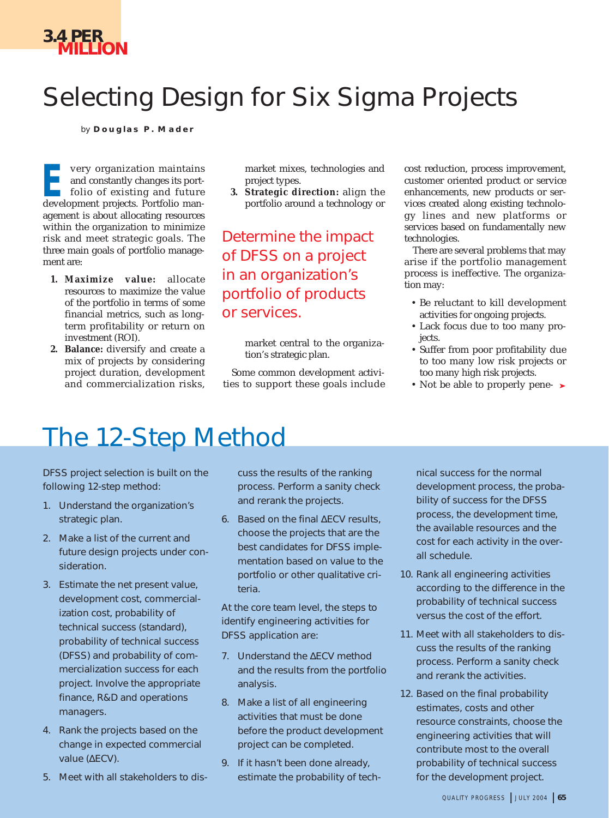### **3.4 PER MILLION**

# Selecting Design for Six Sigma Projects

by **Douglas P. Mader**

very organization maintains and constantly changes its portfolio of existing and future very organization maintains<br>and constantly changes its port-<br>folio of existing and future<br>development projects. Portfolio management is about allocating resources within the organization to minimize risk and meet strategic goals. The three main goals of portfolio management are:

- **1. Maximize value:** allocate resources to maximize the value of the portfolio in terms of some financial metrics, such as longterm profitability or return on investment (ROI).
- **2. Balance:** diversify and create a mix of projects by considering project duration, development and commercialization risks,

market mixes, technologies and project types.

**3. Strategic direction:** align the portfolio around a technology or

Determine the impact of DFSS on a project in an organization's portfolio of products or services.

> market central to the organization's strategic plan.

Some common development activities to support these goals include cost reduction, process improvement, customer oriented product or service enhancements, new products or services created along existing technology lines and new platforms or services based on fundamentally new technologies.

There are several problems that may arise if the portfolio management process is ineffective. The organization may:

- Be reluctant to kill development activities for ongoing projects.
- Lack focus due to too many projects.
- Suffer from poor profitability due to too many low risk projects or too many high risk projects.
- Not be able to properly pene-  $\blacktriangleright$

## The 12-Step Method

DFSS project selection is built on the following 12-step method:

- 1. Understand the organization's strategic plan.
- 2. Make a list of the current and future design projects under consideration.
- 3. Estimate the net present value, development cost, commercialization cost, probability of technical success (standard), probability of technical success (DFSS) and probability of commercialization success for each project. Involve the appropriate finance, R&D and operations managers.
- 4. Rank the projects based on the change in expected commercial value (∆ECV).
- 5. Meet with all stakeholders to dis-

cuss the results of the ranking process. Perform a sanity check and rerank the projects.

6. Based on the final ∆ECV results, choose the projects that are the best candidates for DFSS implementation based on value to the portfolio or other qualitative criteria.

At the core team level, the steps to identify engineering activities for DFSS application are:

- 7. Understand the ∆ECV method and the results from the portfolio analysis.
- 8. Make a list of all engineering activities that must be done before the product development project can be completed.
- 9. If it hasn't been done already, estimate the probability of tech-

nical success for the normal development process, the probability of success for the DFSS process, the development time, the available resources and the cost for each activity in the overall schedule.

- 10. Rank all engineering activities according to the difference in the probability of technical success versus the cost of the effort.
- 11. Meet with all stakeholders to discuss the results of the ranking process. Perform a sanity check and rerank the activities.
- 12. Based on the final probability estimates, costs and other resource constraints, choose the engineering activities that will contribute most to the overall probability of technical success for the development project.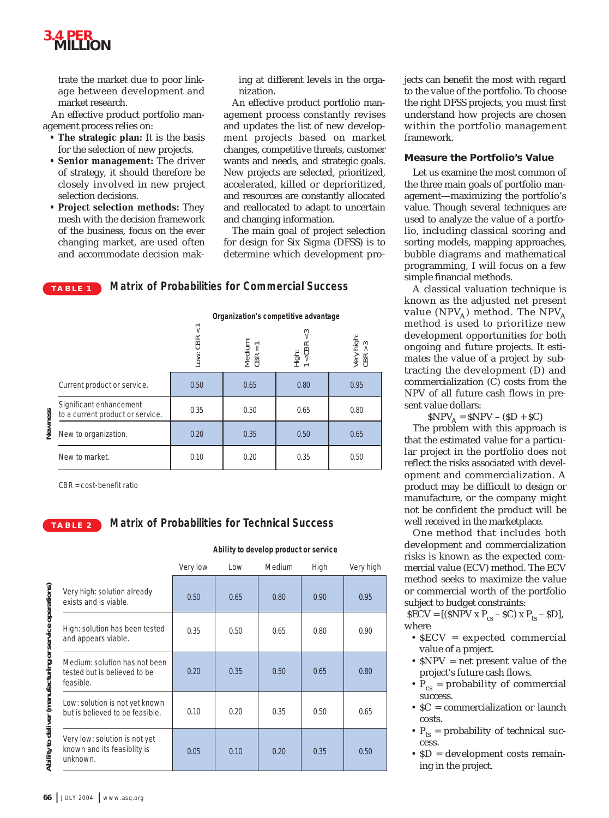

trate the market due to poor linkage between development and market research.

An effective product portfolio management process relies on:

- **• The strategic plan:** It is the basis for the selection of new projects.
- **• Senior management:** The driver of strategy, it should therefore be closely involved in new project selection decisions.
- **• Project selection methods:** They mesh with the decision framework of the business, focus on the ever changing market, are used often and accommodate decision mak-

ing at different levels in the organization.

An effective product portfolio management process constantly revises and updates the list of new development projects based on market changes, competitive threats, customer wants and needs, and strategic goals. New projects are selected, prioritized, accelerated, killed or deprioritized, and resources are constantly allocated and reallocated to adapt to uncertain and changing information.

The main goal of project selection for design for Six Sigma (DFSS) is to determine which development projects can benefit the most with regard to the value of the portfolio. To choose the right DFSS projects, you must first understand how projects are chosen within the portfolio management framework.

#### **Measure the Portfolio's Value**

Let us examine the most common of the three main goals of portfolio management—maximizing the portfolio's value. Though several techniques are used to analyze the value of a portfolio, including classical scoring and sorting models, mapping approaches, bubble diagrams and mathematical programming, I will focus on a few simple financial methods.

A classical valuation technique is known as the adjusted net present value (NPV<sub>A</sub>) method. The NPV<sub>A</sub> method is used to prioritize new development opportunities for both ongoing and future projects. It estimates the value of a project by subtracting the development (D) and commercialization (C) costs from the NPV of all future cash flows in present value dollars:

 $SNPV<sub>A</sub> = SNPV - (SD + SC)$ 

The problem with this approach is that the estimated value for a particular project in the portfolio does not reflect the risks associated with development and commercialization. A product may be difficult to design or manufacture, or the company might not be confident the product will be well received in the marketplace.

One method that includes both development and commercialization risks is known as the expected commercial value (ECV) method. The ECV method seeks to maximize the value or commercial worth of the portfolio subject to budget constraints:

 $$ECV = [(SNPV × P<sub>cs</sub> - $C) × P<sub>ts</sub> - $D],$ where

- \$ECV = expected commercial value of a project.
- \$NPV = net present value of the project's future cash flows.
- $P_{cs}$  = probability of commercial success.
- \$C = commercialization or launch costs.
- $P_{ts}$  = probability of technical success.
- \$D = development costs remaining in the project.

| <b>Matrix of Probabilities for Commercial Success</b><br><b>TABLE 1</b> |
|-------------------------------------------------------------------------|
|-------------------------------------------------------------------------|

**Organization's competitive advantage**

|         |                                                             | ν<br>Low: CBR | Medium:<br>$CBR = 1$ | $\sim$<br>High: 1 < CBR | Very high:<br>CBR > 3 |
|---------|-------------------------------------------------------------|---------------|----------------------|-------------------------|-----------------------|
| Newness | Current product or service.                                 | 0.50          | 0.65                 | 0.80                    | 0.95                  |
|         | Significant enhancement<br>to a current product or service. | 0.35          | 0.50                 | 0.65                    | 0.80                  |
|         | New to organization.                                        | 0.20          | 0.35                 | 0.50                    | 0.65                  |
|         | New to market.                                              | 0.10          | 0.20                 | 0.35                    | 0.50                  |

CBR = cost-benefit ratio

### **TABLE 2 Matrix of Probabilities for Technical Success**

#### **Ability to develop product or service**

|                                                          |                                                                            | Very low | Medium<br>Low |      | High | Very high |  |
|----------------------------------------------------------|----------------------------------------------------------------------------|----------|---------------|------|------|-----------|--|
| Ability to deliver (manufacturing or service operations) | Very high: solution already<br>exists and is viable.                       | 0.50     | 0.65          | 0.80 | 0.90 | 0.95      |  |
|                                                          | High: solution has been tested<br>and appears viable.                      | 0.35     | 0.50          | 0.65 | 0.80 | 0.90      |  |
|                                                          | Medium: solution has not been<br>tested but is believed to be<br>feasible. | 0.20     | 0.35          | 0.50 | 0.65 | 0.80      |  |
|                                                          | Low: solution is not yet known<br>but is believed to be feasible.          | 0.10     | 0.20          | 0.35 | 0.50 | 0.65      |  |
|                                                          | Very low: solution is not yet<br>known and its feasiblity is<br>unknown.   | 0.05     | 0.10          | 0.20 | 0.35 | 0.50      |  |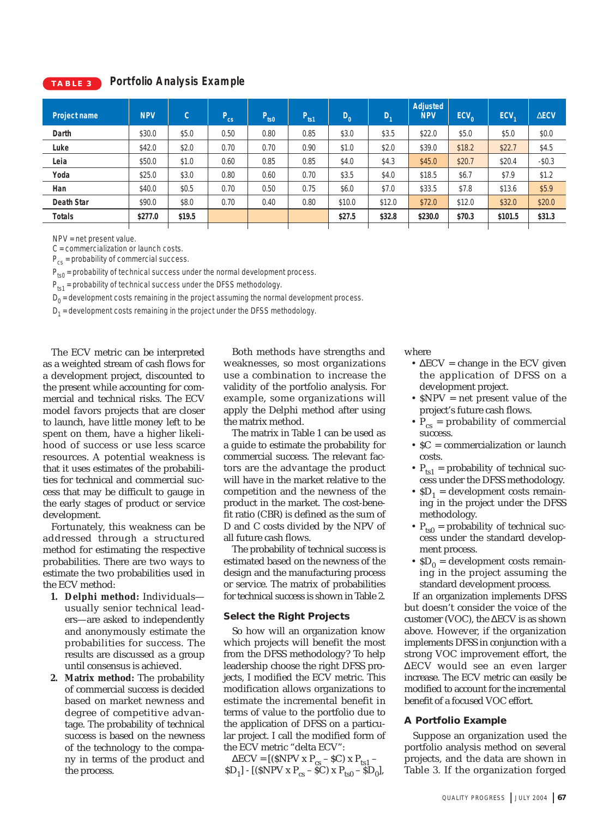#### **TABLE 3 Portfolio Analysis Example**

| <b>Project name</b> | <b>NPV</b> | $\mathsf{C}$ | $P_{cs}$ | $P_{ts0}$ | $P_{ts1}$ | $\mathbf{D}_0$ | D <sub>1</sub> | <b>Adiusted</b><br><b>NPV</b> | ECV <sub>o</sub> | ECV <sub>1</sub> | $\triangle$ ECV |
|---------------------|------------|--------------|----------|-----------|-----------|----------------|----------------|-------------------------------|------------------|------------------|-----------------|
| Darth               | \$30.0     | \$5.0        | 0.50     | 0.80      | 0.85      | \$3.0          | \$3.5          | \$22.0                        | \$5.0            | \$5.0            | \$0.0           |
| Luke                | \$42.0     | \$2.0        | 0.70     | 0.70      | 0.90      | \$1.0          | \$2.0          | \$39.0                        | \$18.2           | \$22.7           | \$4.5           |
| Leia                | \$50.0     | \$1.0        | 0.60     | 0.85      | 0.85      | \$4.0          | \$4.3          | \$45.0                        | \$20.7           | \$20.4           | $-$ \$0.3       |
| Yoda                | \$25.0     | \$3.0        | 0.80     | 0.60      | 0.70      | \$3.5          | \$4.0          | \$18.5                        | \$6.7            | \$7.9            | \$1.2           |
| Han                 | \$40.0     | \$0.5        | 0.70     | 0.50      | 0.75      | \$6.0          | \$7.0          | \$33.5                        | \$7.8            | \$13.6           | \$5.9           |
| <b>Death Star</b>   | \$90.0     | \$8.0        | 0.70     | 0.40      | 0.80      | \$10.0         | \$12.0         | \$72.0                        | \$12.0           | \$32.0           | \$20.0          |
| <b>Totals</b>       | \$277.0    | \$19.5       |          |           |           | \$27.5         | \$32.8         | \$230.0                       | \$70.3           | \$101.5          | \$31.3          |
|                     |            |              |          |           |           |                |                |                               |                  |                  |                 |

NPV = net present value.

C = commercialization or launch costs.

 $P_{cs}$  = probability of commercial success.

 $P_{\text{ten}}$  = probability of technical success under the normal development process.

 $P_{ts1}$  = probability of technical success under the DFSS methodology.

 $D_0$  = development costs remaining in the project assuming the normal development process.

 $D_1$  = development costs remaining in the project under the DFSS methodology.

The ECV metric can be interpreted as a weighted stream of cash flows for a development project, discounted to the present while accounting for commercial and technical risks. The ECV model favors projects that are closer to launch, have little money left to be spent on them, have a higher likelihood of success or use less scarce resources. A potential weakness is that it uses estimates of the probabilities for technical and commercial success that may be difficult to gauge in the early stages of product or service development.

Fortunately, this weakness can be addressed through a structured method for estimating the respective probabilities. There are two ways to estimate the two probabilities used in the ECV method:

- **1. Delphi method:** Individuals usually senior technical leaders—are asked to independently and anonymously estimate the probabilities for success. The results are discussed as a group until consensus is achieved.
- **2. Matrix method:** The probability of commercial success is decided based on market newness and degree of competitive advantage. The probability of technical success is based on the newness of the technology to the company in terms of the product and the process.

Both methods have strengths and weaknesses, so most organizations use a combination to increase the validity of the portfolio analysis. For example, some organizations will apply the Delphi method after using the matrix method.

The matrix in Table 1 can be used as a guide to estimate the probability for commercial success. The relevant factors are the advantage the product will have in the market relative to the competition and the newness of the product in the market. The cost-benefit ratio (CBR) is defined as the sum of D and C costs divided by the NPV of all future cash flows.

The probability of technical success is estimated based on the newness of the design and the manufacturing process or service. The matrix of probabilities for technical success is shown in Table 2.

#### **Select the Right Projects**

So how will an organization know which projects will benefit the most from the DFSS methodology? To help leadership choose the right DFSS projects, I modified the ECV metric. This modification allows organizations to estimate the incremental benefit in terms of value to the portfolio due to the application of DFSS on a particular project. I call the modified form of the ECV metric "delta ECV":

 $\triangle$ ECV = [(\$NPV x P<sub>cs</sub> – \$C) x P<sub>ts1</sub> –  $SD_1$ ] - [(SNPV x P<sub>cs</sub> – SC) x P<sub>ts0</sub> – SD<sub>0</sub>], where

- $\Delta$ ECV = change in the ECV given the application of DFSS on a development project.
- \$NPV = net present value of the project's future cash flows.
- $P_{cs}$  = probability of commercial success.
- \$C = commercialization or launch costs.
- $P_{ts1}$  = probability of technical success under the DFSS methodology.
- $SD_1$  = development costs remaining in the project under the DFSS methodology.
- $P_{ts0}$  = probability of technical success under the standard development process.
- $SD_0$  = development costs remaining in the project assuming the standard development process.

If an organization implements DFSS but doesn't consider the voice of the customer (VOC), the ∆ECV is as shown above. However, if the organization implements DFSS in conjunction with a strong VOC improvement effort, the ∆ECV would see an even larger increase. The ECV metric can easily be modified to account for the incremental benefit of a focused VOC effort.

#### **A Portfolio Example**

Suppose an organization used the portfolio analysis method on several projects, and the data are shown in Table 3. If the organization forged